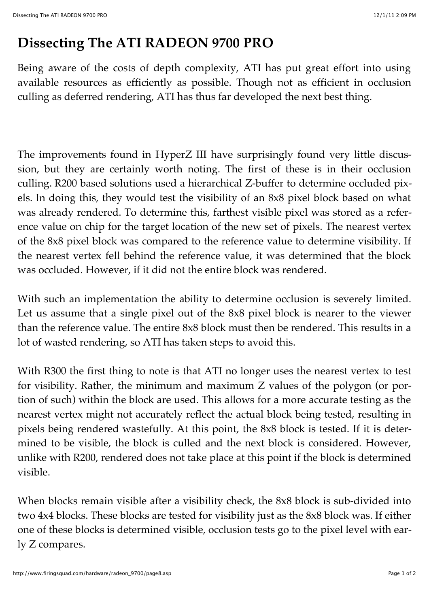## **Dissecting The ATI RADEON 9700 PRO**

Being aware of the costs of depth complexity, ATI has put great effort into using available resources as efficiently as possible. Though not as efficient in occlusion culling as deferred rendering, ATI has thus far developed the next best thing.

The improvements found in HyperZ III have surprisingly found very little discussion, but they are certainly worth noting. The first of these is in their occlusion culling. R200 based solutions used a hierarchical Z-buffer to determine occluded pixels. In doing this, they would test the visibility of an 8x8 pixel block based on what was already rendered. To determine this, farthest visible pixel was stored as a reference value on chip for the target location of the new set of pixels. The nearest vertex of the 8x8 pixel block was compared to the reference value to determine visibility. If the nearest vertex fell behind the reference value, it was determined that the block was occluded. However, if it did not the entire block was rendered.

With such an implementation the ability to determine occlusion is severely limited. Let us assume that a single pixel out of the 8x8 pixel block is nearer to the viewer than the reference value. The entire 8x8 block must then be rendered. This results in a lot of wasted rendering, so ATI has taken steps to avoid this.

With R300 the first thing to note is that ATI no longer uses the nearest vertex to test for visibility. Rather, the minimum and maximum Z values of the polygon (or portion of such) within the block are used. This allows for a more accurate testing as the nearest vertex might not accurately reflect the actual block being tested, resulting in pixels being rendered wastefully. At this point, the 8x8 block is tested. If it is determined to be visible, the block is culled and the next block is considered. However, unlike with R200, rendered does not take place at this point if the block is determined visible.

When blocks remain visible after a visibility check, the 8x8 block is sub-divided into two 4x4 blocks. These blocks are tested for visibility just as the 8x8 block was. If either one of these blocks is determined visible, occlusion tests go to the pixel level with early Z compares.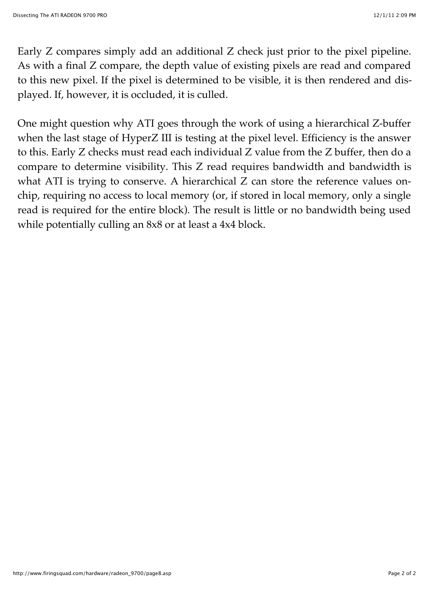Early Z compares simply add an additional Z check just prior to the pixel pipeline. As with a final Z compare, the depth value of existing pixels are read and compared to this new pixel. If the pixel is determined to be visible, it is then rendered and displayed. If, however, it is occluded, it is culled.

One might question why ATI goes through the work of using a hierarchical Z-buffer when the last stage of HyperZ III is testing at the pixel level. Efficiency is the answer to this. Early Z checks must read each individual Z value from the Z buffer, then do a compare to determine visibility. This Z read requires bandwidth and bandwidth is what ATI is trying to conserve. A hierarchical Z can store the reference values onchip, requiring no access to local memory (or, if stored in local memory, only a single read is required for the entire block). The result is little or no bandwidth being used while potentially culling an 8x8 or at least a 4x4 block.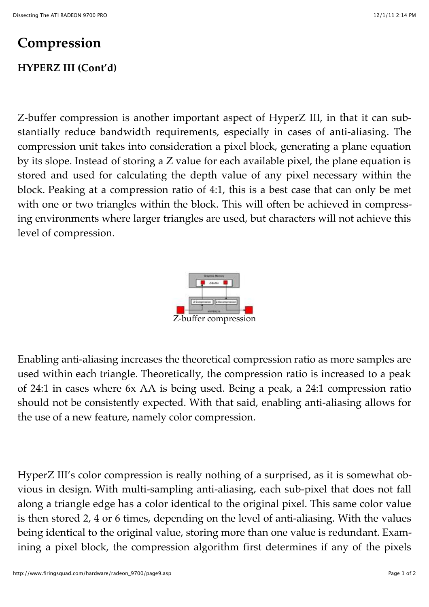## **Compression**

## **HYPERZ III (Cont'd)**

Z-buffer compression is another important aspect of HyperZ III, in that it can substantially reduce bandwidth requirements, especially in cases of anti-aliasing. The compression unit takes into consideration a pixel block, generating a plane equation by its slope. Instead of storing a Z value for each available pixel, the plane equation is stored and used for calculating the depth value of any pixel necessary within the block. Peaking at a compression ratio of 4:1, this is a best case that can only be met with one or two triangles within the block. This will often be achieved in compressing environments where larger triangles are used, but characters will not achieve this level of compression.



Enabling anti-aliasing increases the theoretical compression ratio as more samples are used within each triangle. Theoretically, the compression ratio is increased to a peak of 24:1 in cases where 6x AA is being used. Being a peak, a 24:1 compression ratio should not be consistently expected. With that said, enabling anti-aliasing allows for the use of a new feature, namely color compression.

HyperZ III's color compression is really nothing of a surprised, as it is somewhat obvious in design. With multi-sampling anti-aliasing, each sub-pixel that does not fall along a triangle edge has a color identical to the original pixel. This same color value is then stored 2, 4 or 6 times, depending on the level of anti-aliasing. With the values being identical to the original value, storing more than one value is redundant. Examining a pixel block, the compression algorithm first determines if any of the pixels